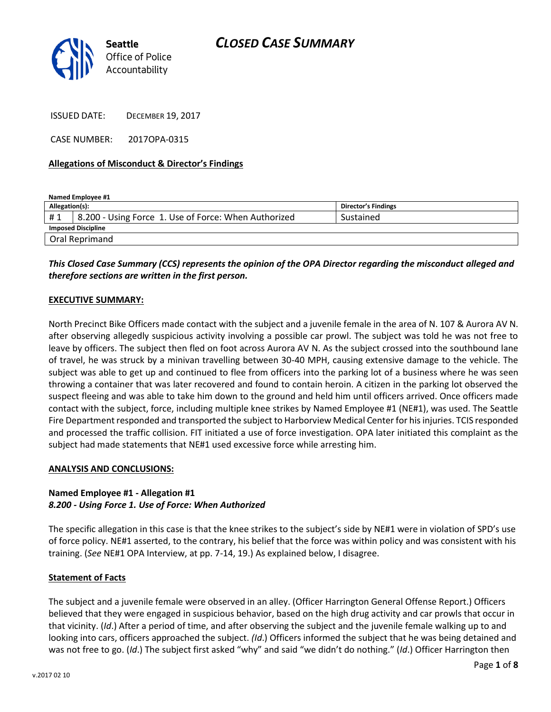|  |    | Seattle                 |
|--|----|-------------------------|
|  | GI | <b>Office of Police</b> |
|  |    | Accountability          |

ISSUED DATE: DECEMBER 19, 2017

CASE NUMBER: 2017OPA-0315

## **Allegations of Misconduct & Director's Findings**

| Named Employee #1         |                                                                   |                     |  |  |
|---------------------------|-------------------------------------------------------------------|---------------------|--|--|
| Allegation(s):            |                                                                   | Director's Findings |  |  |
| #1                        | <sup>1</sup> 8.200 - Using Force 1. Use of Force: When Authorized | Sustained           |  |  |
| <b>Imposed Discipline</b> |                                                                   |                     |  |  |
| Oral Reprimand            |                                                                   |                     |  |  |

## *This Closed Case Summary (CCS) represents the opinion of the OPA Director regarding the misconduct alleged and therefore sections are written in the first person.*

## **EXECUTIVE SUMMARY:**

North Precinct Bike Officers made contact with the subject and a juvenile female in the area of N. 107 & Aurora AV N. after observing allegedly suspicious activity involving a possible car prowl. The subject was told he was not free to leave by officers. The subject then fled on foot across Aurora AV N. As the subject crossed into the southbound lane of travel, he was struck by a minivan travelling between 30-40 MPH, causing extensive damage to the vehicle. The subject was able to get up and continued to flee from officers into the parking lot of a business where he was seen throwing a container that was later recovered and found to contain heroin. A citizen in the parking lot observed the suspect fleeing and was able to take him down to the ground and held him until officers arrived. Once officers made contact with the subject, force, including multiple knee strikes by Named Employee #1 (NE#1), was used. The Seattle Fire Department responded and transported the subject to Harborview Medical Center for his injuries. TCIS responded and processed the traffic collision. FIT initiated a use of force investigation. OPA later initiated this complaint as the subject had made statements that NE#1 used excessive force while arresting him.

## **ANALYSIS AND CONCLUSIONS:**

## **Named Employee #1 - Allegation #1** *8.200 - Using Force 1. Use of Force: When Authorized*

The specific allegation in this case is that the knee strikes to the subject's side by NE#1 were in violation of SPD's use of force policy. NE#1 asserted, to the contrary, his belief that the force was within policy and was consistent with his training. (*See* NE#1 OPA Interview, at pp. 7-14, 19.) As explained below, I disagree.

## **Statement of Facts**

The subject and a juvenile female were observed in an alley. (Officer Harrington General Offense Report.) Officers believed that they were engaged in suspicious behavior, based on the high drug activity and car prowls that occur in that vicinity. (*Id*.) After a period of time, and after observing the subject and the juvenile female walking up to and looking into cars, officers approached the subject. *(Id*.) Officers informed the subject that he was being detained and was not free to go. (*Id*.) The subject first asked "why" and said "we didn't do nothing." (*Id*.) Officer Harrington then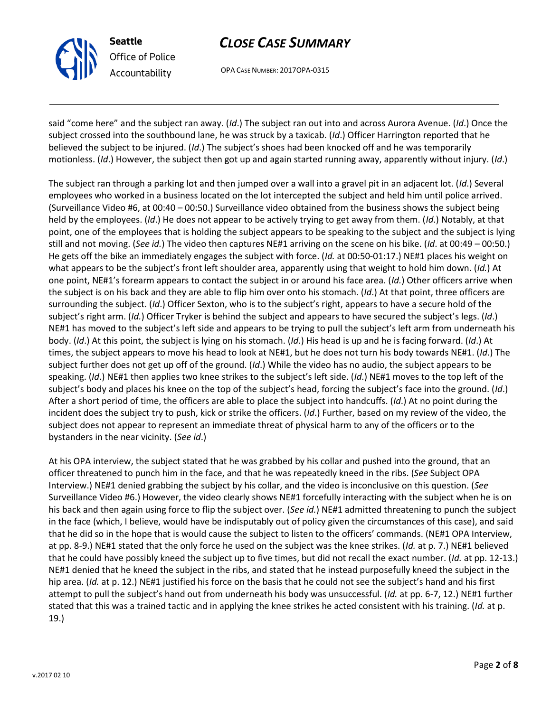

OPA CASE NUMBER: 2017OPA-0315

said "come here" and the subject ran away. (*Id*.) The subject ran out into and across Aurora Avenue. (*Id*.) Once the subject crossed into the southbound lane, he was struck by a taxicab. (*Id*.) Officer Harrington reported that he believed the subject to be injured. (*Id*.) The subject's shoes had been knocked off and he was temporarily motionless. (*Id*.) However, the subject then got up and again started running away, apparently without injury. (*Id*.)

The subject ran through a parking lot and then jumped over a wall into a gravel pit in an adjacent lot. (*Id*.) Several employees who worked in a business located on the lot intercepted the subject and held him until police arrived. (Surveillance Video #6, at 00:40 – 00:50.) Surveillance video obtained from the business shows the subject being held by the employees. (*Id*.) He does not appear to be actively trying to get away from them. (*Id*.) Notably, at that point, one of the employees that is holding the subject appears to be speaking to the subject and the subject is lying still and not moving. (*See id.*) The video then captures NE#1 arriving on the scene on his bike. (*Id*. at 00:49 – 00:50.) He gets off the bike an immediately engages the subject with force. (*Id.* at 00:50-01:17.) NE#1 places his weight on what appears to be the subject's front left shoulder area, apparently using that weight to hold him down. (*Id.*) At one point, NE#1's forearm appears to contact the subject in or around his face area. (*Id.*) Other officers arrive when the subject is on his back and they are able to flip him over onto his stomach. (*Id*.) At that point, three officers are surrounding the subject. (*Id*.) Officer Sexton, who is to the subject's right, appears to have a secure hold of the subject's right arm. (*Id.*) Officer Tryker is behind the subject and appears to have secured the subject's legs. (*Id*.) NE#1 has moved to the subject's left side and appears to be trying to pull the subject's left arm from underneath his body. (*Id*.) At this point, the subject is lying on his stomach. (*Id*.) His head is up and he is facing forward. (*Id*.) At times, the subject appears to move his head to look at NE#1, but he does not turn his body towards NE#1. (*Id*.) The subject further does not get up off of the ground. (*Id*.) While the video has no audio, the subject appears to be speaking. (*Id*.) NE#1 then applies two knee strikes to the subject's left side. (*Id*.) NE#1 moves to the top left of the subject's body and places his knee on the top of the subject's head, forcing the subject's face into the ground. (*Id*.) After a short period of time, the officers are able to place the subject into handcuffs. (*Id*.) At no point during the incident does the subject try to push, kick or strike the officers. (*Id*.) Further, based on my review of the video, the subject does not appear to represent an immediate threat of physical harm to any of the officers or to the bystanders in the near vicinity. (*See id*.)

At his OPA interview, the subject stated that he was grabbed by his collar and pushed into the ground, that an officer threatened to punch him in the face, and that he was repeatedly kneed in the ribs. (*See* Subject OPA Interview.) NE#1 denied grabbing the subject by his collar, and the video is inconclusive on this question. (*See* Surveillance Video #6.) However, the video clearly shows NE#1 forcefully interacting with the subject when he is on his back and then again using force to flip the subject over. (*See id.*) NE#1 admitted threatening to punch the subject in the face (which, I believe, would have be indisputably out of policy given the circumstances of this case), and said that he did so in the hope that is would cause the subject to listen to the officers' commands. (NE#1 OPA Interview, at pp. 8-9.) NE#1 stated that the only force he used on the subject was the knee strikes. (*Id.* at p. 7.) NE#1 believed that he could have possibly kneed the subject up to five times, but did not recall the exact number. (*Id.* at pp. 12-13.) NE#1 denied that he kneed the subject in the ribs, and stated that he instead purposefully kneed the subject in the hip area. (*Id.* at p. 12.) NE#1 justified his force on the basis that he could not see the subject's hand and his first attempt to pull the subject's hand out from underneath his body was unsuccessful. (*Id.* at pp. 6-7, 12.) NE#1 further stated that this was a trained tactic and in applying the knee strikes he acted consistent with his training. (*Id.* at p. 19.)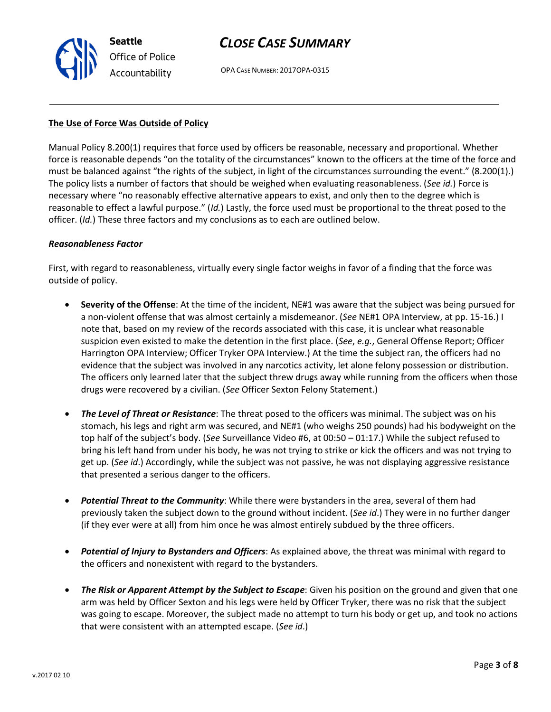OPA CASE NUMBER: 2017OPA-0315

#### **The Use of Force Was Outside of Policy**

Manual Policy 8.200(1) requires that force used by officers be reasonable, necessary and proportional. Whether force is reasonable depends "on the totality of the circumstances" known to the officers at the time of the force and must be balanced against "the rights of the subject, in light of the circumstances surrounding the event." (8.200(1).) The policy lists a number of factors that should be weighed when evaluating reasonableness. (*See id.*) Force is necessary where "no reasonably effective alternative appears to exist, and only then to the degree which is reasonable to effect a lawful purpose." (*Id.*) Lastly, the force used must be proportional to the threat posed to the officer. (*Id.*) These three factors and my conclusions as to each are outlined below.

#### *Reasonableness Factor*

First, with regard to reasonableness, virtually every single factor weighs in favor of a finding that the force was outside of policy.

- **Severity of the Offense**: At the time of the incident, NE#1 was aware that the subject was being pursued for a non-violent offense that was almost certainly a misdemeanor. (*See* NE#1 OPA Interview, at pp. 15-16.) I note that, based on my review of the records associated with this case, it is unclear what reasonable suspicion even existed to make the detention in the first place. (*See*, *e.g.*, General Offense Report; Officer Harrington OPA Interview; Officer Tryker OPA Interview.) At the time the subject ran, the officers had no evidence that the subject was involved in any narcotics activity, let alone felony possession or distribution. The officers only learned later that the subject threw drugs away while running from the officers when those drugs were recovered by a civilian. (*See* Officer Sexton Felony Statement.)
- *The Level of Threat or Resistance*: The threat posed to the officers was minimal. The subject was on his stomach, his legs and right arm was secured, and NE#1 (who weighs 250 pounds) had his bodyweight on the top half of the subject's body. (*See* Surveillance Video #6, at 00:50 – 01:17.) While the subject refused to bring his left hand from under his body, he was not trying to strike or kick the officers and was not trying to get up. (*See id*.) Accordingly, while the subject was not passive, he was not displaying aggressive resistance that presented a serious danger to the officers.
- *Potential Threat to the Community*: While there were bystanders in the area, several of them had previously taken the subject down to the ground without incident. (*See id*.) They were in no further danger (if they ever were at all) from him once he was almost entirely subdued by the three officers.
- *Potential of Injury to Bystanders and Officers*: As explained above, the threat was minimal with regard to the officers and nonexistent with regard to the bystanders.
- *The Risk or Apparent Attempt by the Subject to Escape*: Given his position on the ground and given that one arm was held by Officer Sexton and his legs were held by Officer Tryker, there was no risk that the subject was going to escape. Moreover, the subject made no attempt to turn his body or get up, and took no actions that were consistent with an attempted escape. (*See id*.)



**Seattle** *Office of Police Accountability*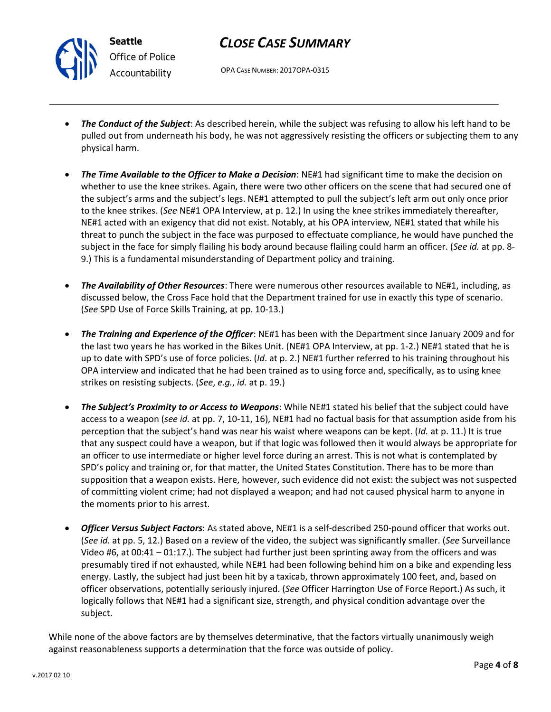

OPA CASE NUMBER: 2017OPA-0315

- *The Conduct of the Subject*: As described herein, while the subject was refusing to allow his left hand to be pulled out from underneath his body, he was not aggressively resisting the officers or subjecting them to any physical harm.
- *The Time Available to the Officer to Make a Decision*: NE#1 had significant time to make the decision on whether to use the knee strikes. Again, there were two other officers on the scene that had secured one of the subject's arms and the subject's legs. NE#1 attempted to pull the subject's left arm out only once prior to the knee strikes. (*See* NE#1 OPA Interview, at p. 12.) In using the knee strikes immediately thereafter, NE#1 acted with an exigency that did not exist. Notably, at his OPA interview, NE#1 stated that while his threat to punch the subject in the face was purposed to effectuate compliance, he would have punched the subject in the face for simply flailing his body around because flailing could harm an officer. (*See id.* at pp. 8- 9.) This is a fundamental misunderstanding of Department policy and training.
- *The Availability of Other Resources*: There were numerous other resources available to NE#1, including, as discussed below, the Cross Face hold that the Department trained for use in exactly this type of scenario. (*See* SPD Use of Force Skills Training, at pp. 10-13.)
- *The Training and Experience of the Officer*: NE#1 has been with the Department since January 2009 and for the last two years he has worked in the Bikes Unit. (NE#1 OPA Interview, at pp. 1-2.) NE#1 stated that he is up to date with SPD's use of force policies. (*Id*. at p. 2.) NE#1 further referred to his training throughout his OPA interview and indicated that he had been trained as to using force and, specifically, as to using knee strikes on resisting subjects. (*See*, *e.g.*, *id.* at p. 19.)
- *The Subject's Proximity to or Access to Weapons*: While NE#1 stated his belief that the subject could have access to a weapon (*see id.* at pp. 7, 10-11, 16), NE#1 had no factual basis for that assumption aside from his perception that the subject's hand was near his waist where weapons can be kept. (*Id.* at p. 11.) It is true that any suspect could have a weapon, but if that logic was followed then it would always be appropriate for an officer to use intermediate or higher level force during an arrest. This is not what is contemplated by SPD's policy and training or, for that matter, the United States Constitution. There has to be more than supposition that a weapon exists. Here, however, such evidence did not exist: the subject was not suspected of committing violent crime; had not displayed a weapon; and had not caused physical harm to anyone in the moments prior to his arrest.
- *Officer Versus Subject Factors*: As stated above, NE#1 is a self-described 250-pound officer that works out. (*See id.* at pp. 5, 12.) Based on a review of the video, the subject was significantly smaller. (*See* Surveillance Video #6, at 00:41 – 01:17.). The subject had further just been sprinting away from the officers and was presumably tired if not exhausted, while NE#1 had been following behind him on a bike and expending less energy. Lastly, the subject had just been hit by a taxicab, thrown approximately 100 feet, and, based on officer observations, potentially seriously injured. (*See* Officer Harrington Use of Force Report.) As such, it logically follows that NE#1 had a significant size, strength, and physical condition advantage over the subject.

While none of the above factors are by themselves determinative, that the factors virtually unanimously weigh against reasonableness supports a determination that the force was outside of policy.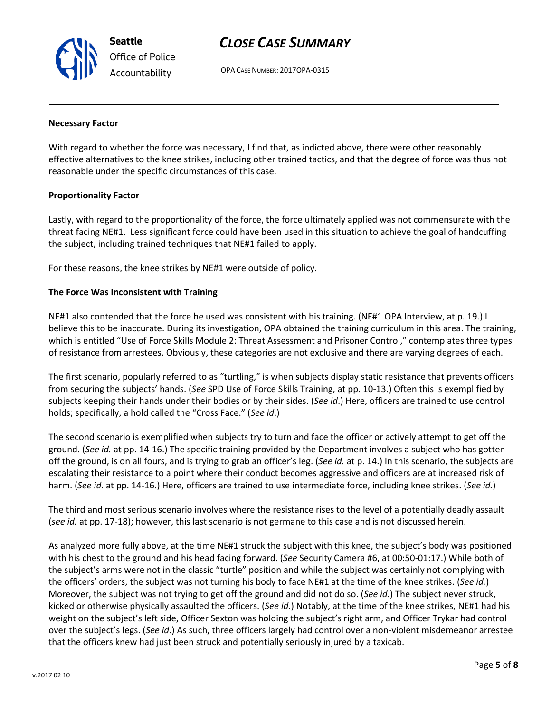**Seattle** *Office of Police Accountability*

# *CLOSE CASE SUMMARY*

OPA CASE NUMBER: 2017OPA-0315

#### **Necessary Factor**

With regard to whether the force was necessary, I find that, as indicted above, there were other reasonably effective alternatives to the knee strikes, including other trained tactics, and that the degree of force was thus not reasonable under the specific circumstances of this case.

## **Proportionality Factor**

Lastly, with regard to the proportionality of the force, the force ultimately applied was not commensurate with the threat facing NE#1. Less significant force could have been used in this situation to achieve the goal of handcuffing the subject, including trained techniques that NE#1 failed to apply.

For these reasons, the knee strikes by NE#1 were outside of policy.

#### **The Force Was Inconsistent with Training**

NE#1 also contended that the force he used was consistent with his training. (NE#1 OPA Interview, at p. 19.) I believe this to be inaccurate. During its investigation, OPA obtained the training curriculum in this area. The training, which is entitled "Use of Force Skills Module 2: Threat Assessment and Prisoner Control," contemplates three types of resistance from arrestees. Obviously, these categories are not exclusive and there are varying degrees of each.

The first scenario, popularly referred to as "turtling," is when subjects display static resistance that prevents officers from securing the subjects' hands. (*See* SPD Use of Force Skills Training, at pp. 10-13.) Often this is exemplified by subjects keeping their hands under their bodies or by their sides. (*See id*.) Here, officers are trained to use control holds; specifically, a hold called the "Cross Face." (*See id*.)

The second scenario is exemplified when subjects try to turn and face the officer or actively attempt to get off the ground. (*See id.* at pp. 14-16.) The specific training provided by the Department involves a subject who has gotten off the ground, is on all fours, and is trying to grab an officer's leg. (*See id.* at p. 14.) In this scenario, the subjects are escalating their resistance to a point where their conduct becomes aggressive and officers are at increased risk of harm. (*See id.* at pp. 14-16.) Here, officers are trained to use intermediate force, including knee strikes. (*See id.*)

The third and most serious scenario involves where the resistance rises to the level of a potentially deadly assault (*see id.* at pp. 17-18); however, this last scenario is not germane to this case and is not discussed herein.

As analyzed more fully above, at the time NE#1 struck the subject with this knee, the subject's body was positioned with his chest to the ground and his head facing forward. (*See* Security Camera #6, at 00:50-01:17.) While both of the subject's arms were not in the classic "turtle" position and while the subject was certainly not complying with the officers' orders, the subject was not turning his body to face NE#1 at the time of the knee strikes. (*See id.*) Moreover, the subject was not trying to get off the ground and did not do so. (*See id.*) The subject never struck, kicked or otherwise physically assaulted the officers. (*See id*.) Notably, at the time of the knee strikes, NE#1 had his weight on the subject's left side, Officer Sexton was holding the subject's right arm, and Officer Trykar had control over the subject's legs. (*See id*.) As such, three officers largely had control over a non-violent misdemeanor arrestee that the officers knew had just been struck and potentially seriously injured by a taxicab.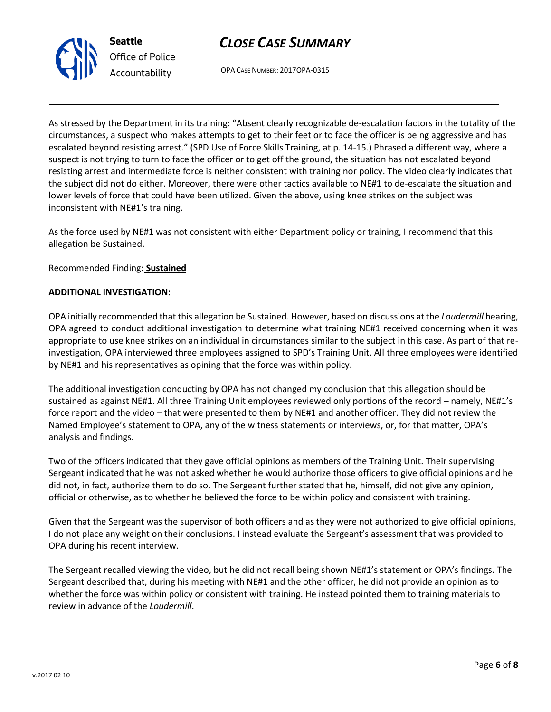



OPA CASE NUMBER: 2017OPA-0315

As stressed by the Department in its training: "Absent clearly recognizable de-escalation factors in the totality of the circumstances, a suspect who makes attempts to get to their feet or to face the officer is being aggressive and has escalated beyond resisting arrest." (SPD Use of Force Skills Training, at p. 14-15.) Phrased a different way, where a suspect is not trying to turn to face the officer or to get off the ground, the situation has not escalated beyond resisting arrest and intermediate force is neither consistent with training nor policy. The video clearly indicates that the subject did not do either. Moreover, there were other tactics available to NE#1 to de-escalate the situation and lower levels of force that could have been utilized. Given the above, using knee strikes on the subject was inconsistent with NE#1's training.

As the force used by NE#1 was not consistent with either Department policy or training, I recommend that this allegation be Sustained.

Recommended Finding: **Sustained**

#### **ADDITIONAL INVESTIGATION:**

OPA initially recommended that this allegation be Sustained. However, based on discussions at the *Loudermill* hearing, OPA agreed to conduct additional investigation to determine what training NE#1 received concerning when it was appropriate to use knee strikes on an individual in circumstances similar to the subject in this case. As part of that reinvestigation, OPA interviewed three employees assigned to SPD's Training Unit. All three employees were identified by NE#1 and his representatives as opining that the force was within policy.

The additional investigation conducting by OPA has not changed my conclusion that this allegation should be sustained as against NE#1. All three Training Unit employees reviewed only portions of the record – namely, NE#1's force report and the video – that were presented to them by NE#1 and another officer. They did not review the Named Employee's statement to OPA, any of the witness statements or interviews, or, for that matter, OPA's analysis and findings.

Two of the officers indicated that they gave official opinions as members of the Training Unit. Their supervising Sergeant indicated that he was not asked whether he would authorize those officers to give official opinions and he did not, in fact, authorize them to do so. The Sergeant further stated that he, himself, did not give any opinion, official or otherwise, as to whether he believed the force to be within policy and consistent with training.

Given that the Sergeant was the supervisor of both officers and as they were not authorized to give official opinions, I do not place any weight on their conclusions. I instead evaluate the Sergeant's assessment that was provided to OPA during his recent interview.

The Sergeant recalled viewing the video, but he did not recall being shown NE#1's statement or OPA's findings. The Sergeant described that, during his meeting with NE#1 and the other officer, he did not provide an opinion as to whether the force was within policy or consistent with training. He instead pointed them to training materials to review in advance of the *Loudermill*.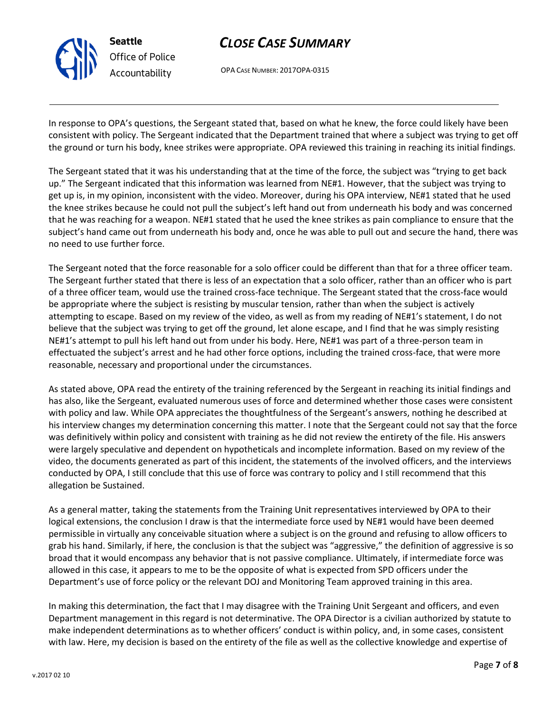

OPA CASE NUMBER: 2017OPA-0315

In response to OPA's questions, the Sergeant stated that, based on what he knew, the force could likely have been consistent with policy. The Sergeant indicated that the Department trained that where a subject was trying to get off the ground or turn his body, knee strikes were appropriate. OPA reviewed this training in reaching its initial findings.

The Sergeant stated that it was his understanding that at the time of the force, the subject was "trying to get back up." The Sergeant indicated that this information was learned from NE#1. However, that the subject was trying to get up is, in my opinion, inconsistent with the video. Moreover, during his OPA interview, NE#1 stated that he used the knee strikes because he could not pull the subject's left hand out from underneath his body and was concerned that he was reaching for a weapon. NE#1 stated that he used the knee strikes as pain compliance to ensure that the subject's hand came out from underneath his body and, once he was able to pull out and secure the hand, there was no need to use further force.

The Sergeant noted that the force reasonable for a solo officer could be different than that for a three officer team. The Sergeant further stated that there is less of an expectation that a solo officer, rather than an officer who is part of a three officer team, would use the trained cross-face technique. The Sergeant stated that the cross-face would be appropriate where the subject is resisting by muscular tension, rather than when the subject is actively attempting to escape. Based on my review of the video, as well as from my reading of NE#1's statement, I do not believe that the subject was trying to get off the ground, let alone escape, and I find that he was simply resisting NE#1's attempt to pull his left hand out from under his body. Here, NE#1 was part of a three-person team in effectuated the subject's arrest and he had other force options, including the trained cross-face, that were more reasonable, necessary and proportional under the circumstances.

As stated above, OPA read the entirety of the training referenced by the Sergeant in reaching its initial findings and has also, like the Sergeant, evaluated numerous uses of force and determined whether those cases were consistent with policy and law. While OPA appreciates the thoughtfulness of the Sergeant's answers, nothing he described at his interview changes my determination concerning this matter. I note that the Sergeant could not say that the force was definitively within policy and consistent with training as he did not review the entirety of the file. His answers were largely speculative and dependent on hypotheticals and incomplete information. Based on my review of the video, the documents generated as part of this incident, the statements of the involved officers, and the interviews conducted by OPA, I still conclude that this use of force was contrary to policy and I still recommend that this allegation be Sustained.

As a general matter, taking the statements from the Training Unit representatives interviewed by OPA to their logical extensions, the conclusion I draw is that the intermediate force used by NE#1 would have been deemed permissible in virtually any conceivable situation where a subject is on the ground and refusing to allow officers to grab his hand. Similarly, if here, the conclusion is that the subject was "aggressive," the definition of aggressive is so broad that it would encompass any behavior that is not passive compliance. Ultimately, if intermediate force was allowed in this case, it appears to me to be the opposite of what is expected from SPD officers under the Department's use of force policy or the relevant DOJ and Monitoring Team approved training in this area.

In making this determination, the fact that I may disagree with the Training Unit Sergeant and officers, and even Department management in this regard is not determinative. The OPA Director is a civilian authorized by statute to make independent determinations as to whether officers' conduct is within policy, and, in some cases, consistent with law. Here, my decision is based on the entirety of the file as well as the collective knowledge and expertise of